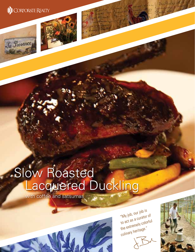

Ja Provence





with coffee and satsumas



"My job, our job is to act as a curator of the extremely colorful culinary heritage."